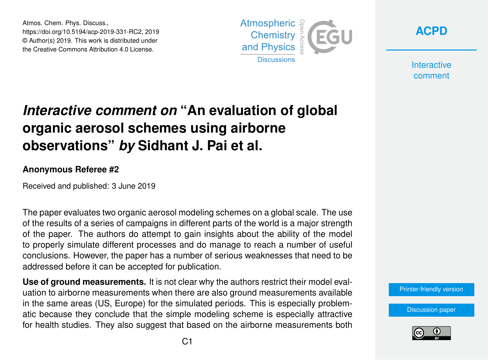Atmos. Chem. Phys. Discuss., https://doi.org/10.5194/acp-2019-331-RC2, 2019 © Author(s) 2019. This work is distributed under the Creative Commons Attribution 4.0 License.





**Interactive** comment

## *Interactive comment on* **"An evaluation of global organic aerosol schemes using airborne observations"** *by* **Sidhant J. Pai et al.**

## **Anonymous Referee #2**

Received and published: 3 June 2019

The paper evaluates two organic aerosol modeling schemes on a global scale. The use of the results of a series of campaigns in different parts of the world is a major strength of the paper. The authors do attempt to gain insights about the ability of the model to properly simulate different processes and do manage to reach a number of useful conclusions. However, the paper has a number of serious weaknesses that need to be addressed before it can be accepted for publication.

**Use of ground measurements.** It is not clear why the authors restrict their model evaluation to airborne measurements when there are also ground measurements available in the same areas (US, Europe) for the simulated periods. This is especially problematic because they conclude that the simple modeling scheme is especially attractive for health studies. They also suggest that based on the airborne measurements both

[Printer-friendly version](https://www.atmos-chem-phys-discuss.net/acp-2019-331/acp-2019-331-RC2-print.pdf)

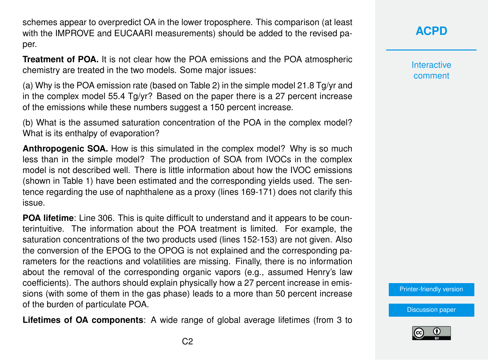schemes appear to overpredict OA in the lower troposphere. This comparison (at least with the IMPROVE and EUCAARI measurements) should be added to the revised paper.

**Treatment of POA.** It is not clear how the POA emissions and the POA atmospheric chemistry are treated in the two models. Some major issues:

(a) Why is the POA emission rate (based on Table 2) in the simple model 21.8 Tg/yr and in the complex model 55.4 Tg/yr? Based on the paper there is a 27 percent increase of the emissions while these numbers suggest a 150 percent increase.

(b) What is the assumed saturation concentration of the POA in the complex model? What is its enthalpy of evaporation?

**Anthropogenic SOA.** How is this simulated in the complex model? Why is so much less than in the simple model? The production of SOA from IVOCs in the complex model is not described well. There is little information about how the IVOC emissions (shown in Table 1) have been estimated and the corresponding yields used. The sentence regarding the use of naphthalene as a proxy (lines 169-171) does not clarify this issue.

**POA lifetime**: Line 306. This is quite difficult to understand and it appears to be counterintuitive. The information about the POA treatment is limited. For example, the saturation concentrations of the two products used (lines 152-153) are not given. Also the conversion of the EPOG to the OPOG is not explained and the corresponding parameters for the reactions and volatilities are missing. Finally, there is no information about the removal of the corresponding organic vapors (e.g., assumed Henry's law coefficients). The authors should explain physically how a 27 percent increase in emissions (with some of them in the gas phase) leads to a more than 50 percent increase of the burden of particulate POA.

**Lifetimes of OA components**: A wide range of global average lifetimes (from 3 to

**[ACPD](https://www.atmos-chem-phys-discuss.net/)**

**Interactive** comment

[Printer-friendly version](https://www.atmos-chem-phys-discuss.net/acp-2019-331/acp-2019-331-RC2-print.pdf)

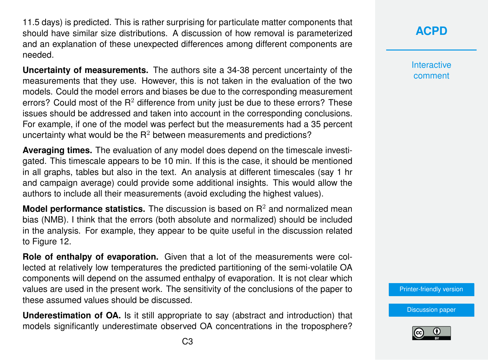11.5 days) is predicted. This is rather surprising for particulate matter components that should have similar size distributions. A discussion of how removal is parameterized and an explanation of these unexpected differences among different components are needed.

**Uncertainty of measurements.** The authors site a 34-38 percent uncertainty of the measurements that they use. However, this is not taken in the evaluation of the two models. Could the model errors and biases be due to the corresponding measurement errors? Could most of the  $R<sup>2</sup>$  difference from unity just be due to these errors? These issues should be addressed and taken into account in the corresponding conclusions. For example, if one of the model was perfect but the measurements had a 35 percent uncertainty what would be the  $R<sup>2</sup>$  between measurements and predictions?

**Averaging times.** The evaluation of any model does depend on the timescale investigated. This timescale appears to be 10 min. If this is the case, it should be mentioned in all graphs, tables but also in the text. An analysis at different timescales (say 1 hr and campaign average) could provide some additional insights. This would allow the authors to include all their measurements (avoid excluding the highest values).

**Model performance statistics.** The discussion is based on R<sup>2</sup> and normalized mean bias (NMB). I think that the errors (both absolute and normalized) should be included in the analysis. For example, they appear to be quite useful in the discussion related to Figure 12.

**Role of enthalpy of evaporation.** Given that a lot of the measurements were collected at relatively low temperatures the predicted partitioning of the semi-volatile OA components will depend on the assumed enthalpy of evaporation. It is not clear which values are used in the present work. The sensitivity of the conclusions of the paper to these assumed values should be discussed.

**Underestimation of OA.** Is it still appropriate to say (abstract and introduction) that models significantly underestimate observed OA concentrations in the troposphere?

**[ACPD](https://www.atmos-chem-phys-discuss.net/)**

**Interactive** comment

[Printer-friendly version](https://www.atmos-chem-phys-discuss.net/acp-2019-331/acp-2019-331-RC2-print.pdf)

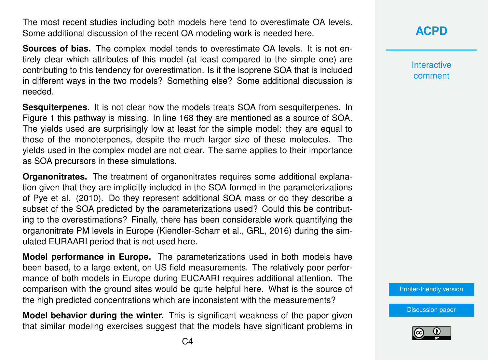The most recent studies including both models here tend to overestimate OA levels. Some additional discussion of the recent OA modeling work is needed here.

**Sources of bias.** The complex model tends to overestimate OA levels. It is not entirely clear which attributes of this model (at least compared to the simple one) are contributing to this tendency for overestimation. Is it the isoprene SOA that is included in different ways in the two models? Something else? Some additional discussion is needed.

**Sesquiterpenes.** It is not clear how the models treats SOA from sesquiterpenes. In Figure 1 this pathway is missing. In line 168 they are mentioned as a source of SOA. The yields used are surprisingly low at least for the simple model: they are equal to those of the monoterpenes, despite the much larger size of these molecules. The yields used in the complex model are not clear. The same applies to their importance as SOA precursors in these simulations.

**Organonitrates.** The treatment of organonitrates requires some additional explanation given that they are implicitly included in the SOA formed in the parameterizations of Pye et al. (2010). Do they represent additional SOA mass or do they describe a subset of the SOA predicted by the parameterizations used? Could this be contributing to the overestimations? Finally, there has been considerable work quantifying the organonitrate PM levels in Europe (Kiendler-Scharr et al., GRL, 2016) during the simulated EURAARI period that is not used here.

**Model performance in Europe.** The parameterizations used in both models have been based, to a large extent, on US field measurements. The relatively poor performance of both models in Europe during EUCAARI requires additional attention. The comparison with the ground sites would be quite helpful here. What is the source of the high predicted concentrations which are inconsistent with the measurements?

**Model behavior during the winter.** This is significant weakness of the paper given that similar modeling exercises suggest that the models have significant problems in **Interactive** comment

[Printer-friendly version](https://www.atmos-chem-phys-discuss.net/acp-2019-331/acp-2019-331-RC2-print.pdf)

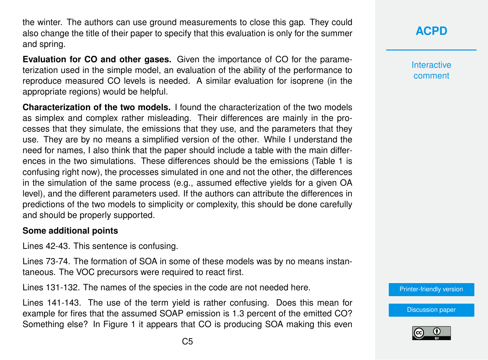the winter. The authors can use ground measurements to close this gap. They could also change the title of their paper to specify that this evaluation is only for the summer and spring.

**Evaluation for CO and other gases.** Given the importance of CO for the parameterization used in the simple model, an evaluation of the ability of the performance to reproduce measured CO levels is needed. A similar evaluation for isoprene (in the appropriate regions) would be helpful.

**Characterization of the two models.** I found the characterization of the two models as simplex and complex rather misleading. Their differences are mainly in the processes that they simulate, the emissions that they use, and the parameters that they use. They are by no means a simplified version of the other. While I understand the need for names, I also think that the paper should include a table with the main differences in the two simulations. These differences should be the emissions (Table 1 is confusing right now), the processes simulated in one and not the other, the differences in the simulation of the same process (e.g., assumed effective yields for a given OA level), and the different parameters used. If the authors can attribute the differences in predictions of the two models to simplicity or complexity, this should be done carefully and should be properly supported.

## **Some additional points**

Lines 42-43. This sentence is confusing.

Lines 73-74. The formation of SOA in some of these models was by no means instantaneous. The VOC precursors were required to react first.

Lines 131-132. The names of the species in the code are not needed here.

Lines 141-143. The use of the term yield is rather confusing. Does this mean for example for fires that the assumed SOAP emission is 1.3 percent of the emitted CO? Something else? In Figure 1 it appears that CO is producing SOA making this even **[ACPD](https://www.atmos-chem-phys-discuss.net/)**

**Interactive** comment

[Printer-friendly version](https://www.atmos-chem-phys-discuss.net/acp-2019-331/acp-2019-331-RC2-print.pdf)